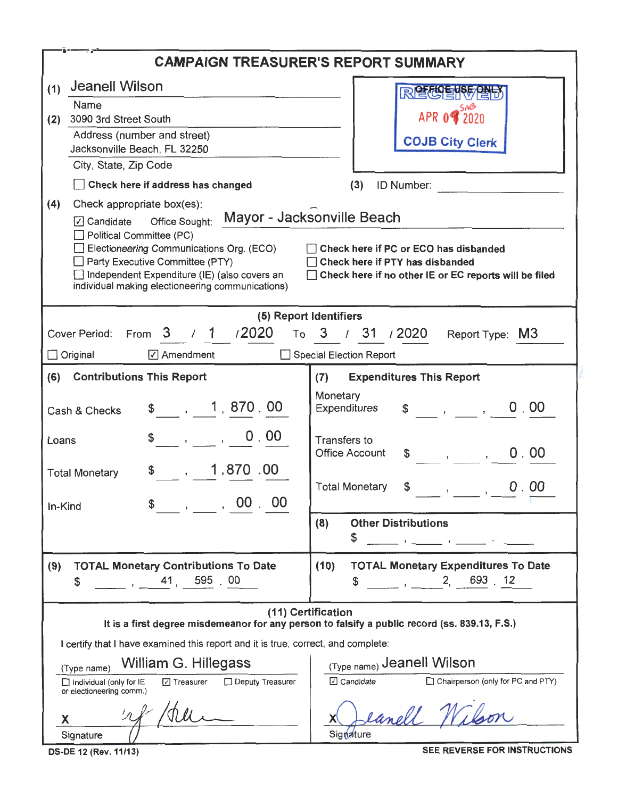|                                                                                                                                                                                                                                                                                                                     | <b>CAMPAIGN TREASURER'S REPORT SUMMARY</b>                                                                                        |
|---------------------------------------------------------------------------------------------------------------------------------------------------------------------------------------------------------------------------------------------------------------------------------------------------------------------|-----------------------------------------------------------------------------------------------------------------------------------|
| <b>Jeanell Wilson</b><br>(1)                                                                                                                                                                                                                                                                                        | <b>R 空の目的</b>                                                                                                                     |
| Name<br>3090 3rd Street South                                                                                                                                                                                                                                                                                       | APR 0 8 2020                                                                                                                      |
| (2)<br>Address (number and street)                                                                                                                                                                                                                                                                                  |                                                                                                                                   |
| Jacksonville Beach, FL 32250                                                                                                                                                                                                                                                                                        | <b>COJB City Clerk</b>                                                                                                            |
| City, State, Zip Code                                                                                                                                                                                                                                                                                               |                                                                                                                                   |
| Check here if address has changed                                                                                                                                                                                                                                                                                   | ID Number:<br>(3)                                                                                                                 |
| (4)<br>Check appropriate box(es):<br>Office Sought: Mayor - Jacksonville Beach<br>√ Candidate<br>Political Committee (PC)<br>Electioneering Communications Org. (ECO)<br>$\Box$ Party Executive Committee (PTY)<br>Independent Expenditure (IE) (also covers an<br>individual making electioneering communications) | Check here if PC or ECO has disbanded<br>Check here if PTY has disbanded<br>Check here if no other IE or EC reports will be filed |
|                                                                                                                                                                                                                                                                                                                     | (5) Report Identifiers                                                                                                            |
| 3 / 1 / 2020<br>Cover Period:<br>From                                                                                                                                                                                                                                                                               | To 3 / 31 / 2020<br>Report Type: M3                                                                                               |
| <b>√</b> Amendment<br>$\Box$ Original                                                                                                                                                                                                                                                                               | <b>Special Election Report</b>                                                                                                    |
| <b>Contributions This Report</b><br>(6)                                                                                                                                                                                                                                                                             | <b>Expenditures This Report</b><br>(7)                                                                                            |
| , 1, 870, 00<br>Cash & Checks                                                                                                                                                                                                                                                                                       | Monetary<br>$\frac{1}{2}$ , , , 0.00<br>Expenditures                                                                              |
| 0.00<br>Loans                                                                                                                                                                                                                                                                                                       | Transfers to<br><b>Office Account</b><br>0.00<br>\$<br>$\mathbf{y}$ , $\mathbf{y}$                                                |
| 1,870.00<br>$\mathbf{r}$<br><b>Total Monetary</b>                                                                                                                                                                                                                                                                   | <b>Total Monetary</b><br>$0$ . $00$<br>\$                                                                                         |
| $\overline{\phantom{a}}$ , $\overline{\phantom{a}}$ , $\overline{\phantom{a}}$ , $\overline{\phantom{a}}$ , $\overline{\phantom{a}}$<br>\$<br>In-Kind                                                                                                                                                               |                                                                                                                                   |
|                                                                                                                                                                                                                                                                                                                     | (8)<br><b>Other Distributions</b><br>\$                                                                                           |
| <b>TOTAL Monetary Contributions To Date</b><br>(9)<br>, 41, 595 00<br>\$                                                                                                                                                                                                                                            | <b>TOTAL Monetary Expenditures To Date</b><br>(10)<br>2, 693, 12<br>\$                                                            |
|                                                                                                                                                                                                                                                                                                                     | (11) Certification<br>It is a first degree misdemeanor for any person to falsify a public record (ss. 839.13, F.S.)               |
| I certify that I have examined this report and it is true, correct, and complete:                                                                                                                                                                                                                                   |                                                                                                                                   |
| William G. Hillegass<br>(Type name)<br>□ Deputy Treasurer<br>$\Box$ Treasurer<br>$\Box$ Individual (only for IE<br>or electioneering comm.)                                                                                                                                                                         | (Type name) Jeanell Wilson<br>Chairperson (only for PC and PTY)<br>$\Box$ Candidate                                               |
| Х<br>Signature                                                                                                                                                                                                                                                                                                      | eanell Wilson<br>Signature                                                                                                        |

DS-DE 12 (Rev. 11/13) SEE REVERSE FOR INSTRUCTIONS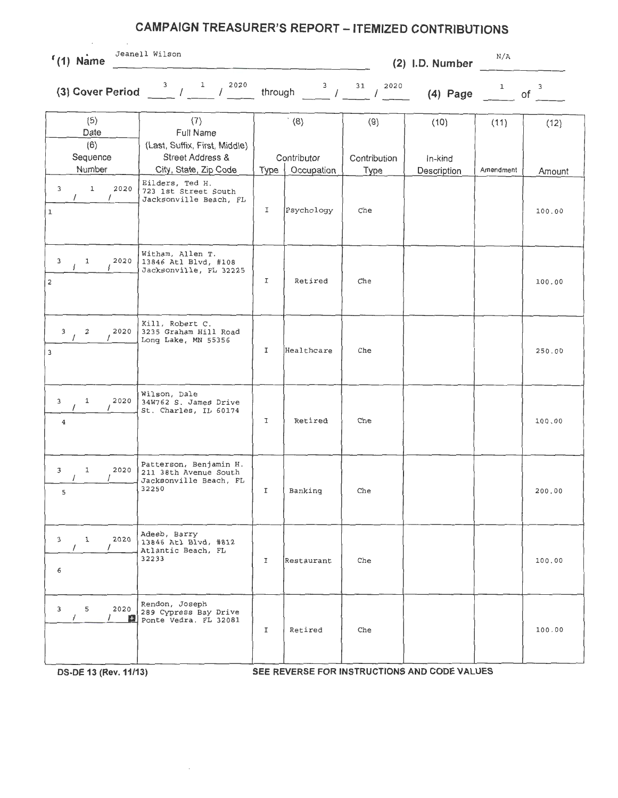## **CAMPAIGN TREASURER'S REPORT - ITEMIZED CONTRIBUTIONS**

| $(1)$ Name |
|------------|

Jeanell Wilson N/A

**(2) l.D. Number** 

**(3) Cover Period**  $\frac{3}{2}$  /  $\frac{1}{2020}$  through  $\frac{3}{2020}$  /  $\frac{31}{2020}$  **(4) Page**  $\frac{1}{2020}$  of  $\frac{3}{2020}$ 

| (5)                                               | (7)                                                                                |      | (8)         | (9)          | (10)        | (11)      | (12)   |
|---------------------------------------------------|------------------------------------------------------------------------------------|------|-------------|--------------|-------------|-----------|--------|
| Date<br>(6)<br>Sequence                           | Full Name<br>(Last, Suffix, First, Middle)<br><b>Street Address &amp;</b>          |      | Contributor | Contribution | In-kind     |           |        |
| Number                                            | City, State, Zip Code                                                              | Type | Occupation  | Type         | Description | Amendment | Amount |
| $\mathbf 1$<br>2020<br>3<br>$\mathbf{1}$          | Eilders, Ted H.<br>723 1st Street South<br>Jacksonville Beach, FL                  | I    | Psychology  | Che          |             |           | 100.00 |
| 1<br>2020<br>3<br>2                               | Witham, Allen T.<br>13846 Atl Blvd, #108<br>Jacksonville, FL 32225                 | I    | Retired     | Che          |             |           | 100.00 |
| $\mathbf{3}$<br>2<br>2020<br>$\overline{3}$       | Kill, Robert C.<br>3235 Graham Hill Road<br>Long Lake, MN 55356                    | I    | Healthcare  | Che          |             |           | 250.00 |
| 2020<br>1<br>3<br>$\overline{\mathbf{4}}$         | Wilson, Dale<br>34W762 S. James Drive<br>St. Charles, IL 60174                     | I    | Retired     | Che          |             |           | 100.00 |
| $\mathbf{1}$<br>2020<br>3<br>5                    | Patterson, Benjamin H.<br>211 38th Avenue South<br>Jacksonville Beach, FL<br>32250 | I    | Banking     | Che          |             |           | 200.00 |
| $\mathbf 1$<br>2020<br>3<br>6                     | Adeeb, Barry<br>13846 Atl Blvd, #812<br>Atlantic Beach, FL<br>32233                | I    | Restaurant  | Che          |             |           | 100.00 |
| 2020<br>5<br>$\mathbf{3}$<br>$\prime$<br>$\prime$ | Rendon, Joseph<br>289 Cypress Bay Drive<br>Ponte Vedra. FL 32081                   | I    | Retired     | Che          |             |           | 100.00 |

**DS-DE 13 (Rev. 11/13) SEE REVERSE FOR INSTRUCTIONS AND CODE VALUES**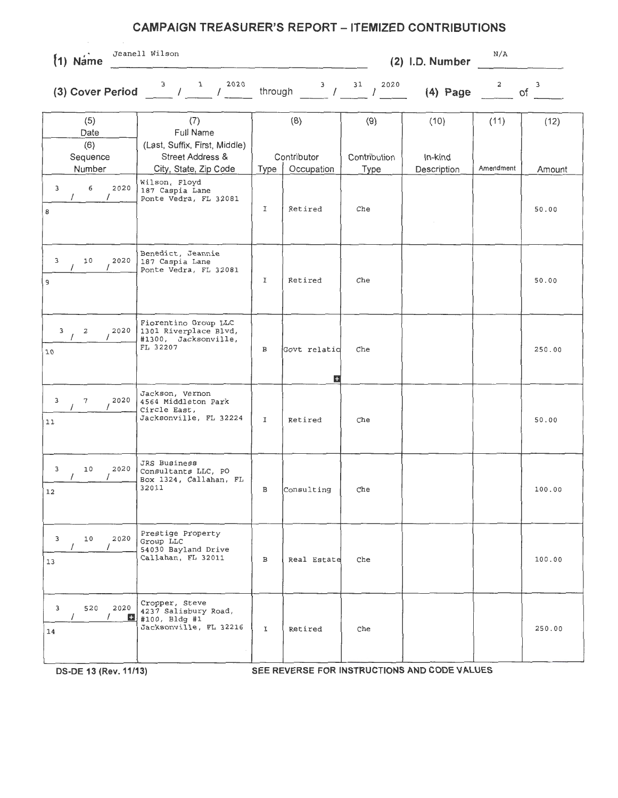## **CAMPAIGN TREASURER'S REPORT - ITEMIZED CONTRIBUTIONS**

· **{1) Name**  Jeanell Wilson N/A

**(2) l.D. Number** 

through  $\frac{3}{2}$  /  $\frac{31}{2020}$  (4) Page  $\frac{2}{2020}$  of  $\frac{3}{2}$ **(3) Cover Period**  $\frac{3}{1}$   $\frac{1}{1}$   $\frac{2020}{1}$ (5) (7) (8) (9) (10) (11) (12) Date | Full Name (6) (Last, Suffix, First, Middle) Sequence Street Address & Contributor Contribution In-kind Number | City, State, Zip Code | Type | Occupation | Type | Description | Amendment | Amount 3 6 2020 Wilson, Floyd<br>187 Caspia Lane Ponte Vedra, FL 32081 <sup>8</sup><sup>I</sup>Retired Che 50 . <sup>00</sup> Benedict, Jeannie 3 10 2020 187 Caspia Lane Ponte Vedra, FL 32081 <sup>9</sup><sup>I</sup>Retired Che 50 . <sup>00</sup> Fiorentino Group LLC 3 2 2020 1301 Riverplace Blvd,<br>
1 2 2020 #1300, Jacksonville, 10 **FL 32207** B Govt relation Che 250.00 ~ Jackson, Vernon 3 7 2020 4564 Middleton Park<br>
/ 2020 4564 Middleton Park<br>
Circle East, <sup>11</sup>Jacksonville, FL 32224 I Retired Che 50.00 JRS Business 3 10 2020 Consultants LLC, PO Box 1324, Callahan, FL<br>32011 12 100.00 3 10 2020 Prestige Property 54030 Bayland Drive 13 Callahan, FL 32011 B Real Estate Che 100.00 3 520 2020 Cropper, Steve<br>
1 1 1 100, Bldg #1 <sup>14</sup>Jacksonville, FL 32216 I Retired Che 250 . <sup>00</sup>

**DS-DE 13 (Rev. 11/13) SEE REVERSE FOR INSTRUCTIONS AND CODE VALUES**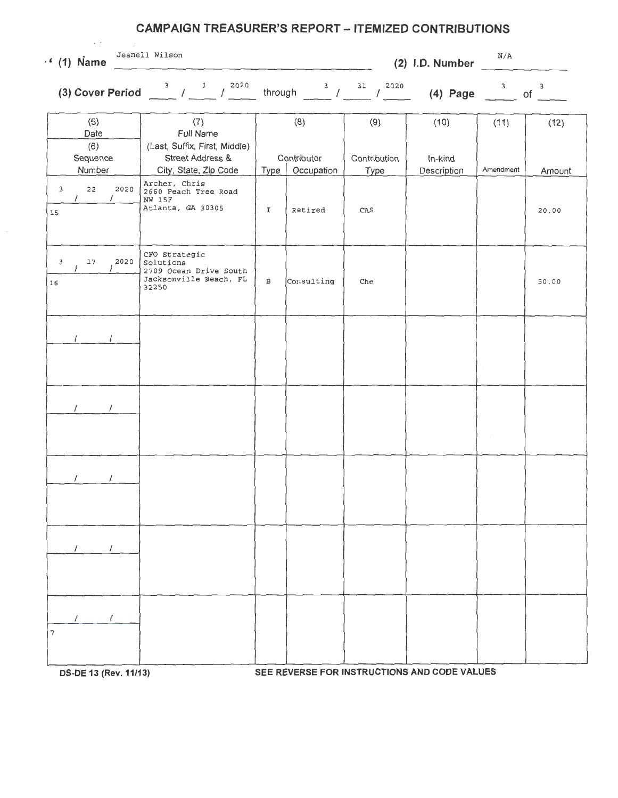## **CAMPAIGN TREASURER'S REPORT - ITEMIZED CONTRIBUTIONS**

|  | $(1)$ Name |
|--|------------|

(1) Name <sup>Jeanell Wilson</sup> Jeanell Wilson  $N/A$ 

**(2) l.D. Number** 

 $\sim$ 

**(3) Cover Period**  $\frac{3}{2}$   $\frac{1}{2}$   $\frac{1}{2020}$  through  $\frac{3}{2}$   $\frac{31}{2020}$  **(4) Page**  $\frac{3}{204}$  of  $\frac{3}{204}$ 

| (5)<br>Date               | (7)<br>Full Name                                                                        |              | (8)                       | (9)          | (10)        | (11)      | (12)            |
|---------------------------|-----------------------------------------------------------------------------------------|--------------|---------------------------|--------------|-------------|-----------|-----------------|
| (6)<br>Sequence<br>Number | (Last, Suffix, First, Middle)<br>Street Address &<br>City, State, Zip Code              | Type         | Contributor<br>Occupation | Contribution | In-kind     | Amendment |                 |
| $22$<br>2020<br>3<br>15   | Archer, Chris<br>2660 Peach Tree Road<br>NW 15F<br>Atlanta, GA 30305                    | I            | Retired                   | Type<br>CAS  | Description |           | Amount<br>20.00 |
| $17\,$<br>3<br>2020<br>16 | CFO Strategic<br>Solutions<br>2709 Ocean Drive South<br>Jacksonville Beach, FL<br>32250 | $\, {\bf B}$ | Consulting                | Che          |             |           | 50.00           |
|                           |                                                                                         |              |                           |              |             |           |                 |
|                           |                                                                                         |              |                           |              |             | $\sim$    |                 |
|                           |                                                                                         |              |                           |              |             |           |                 |
|                           |                                                                                         |              |                           |              |             |           |                 |
|                           |                                                                                         |              |                           |              |             |           |                 |
| $\prime$<br>7             |                                                                                         |              |                           |              |             |           |                 |

**OS-DE 13 (Rev.11/13) SEE REVERSE FOR INSTRUCTIONS AND CODE VALUES**